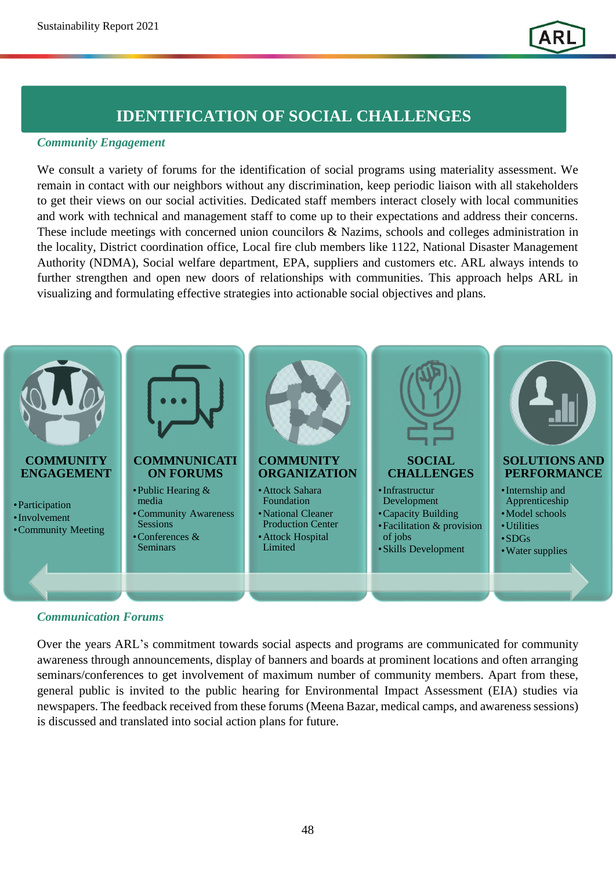# **IDENTIFICATION OF SOCIAL CHALLENGES**

# *Community Engagement Community Engagement*

We consult a variety of forums for the identification of social programs using materiality assessment. We remain in contact with our neighbors without any discrimination, keep periodic liaison with all stakeholders to get their views on our social activities. Dedicated staff members interact closely with local communities and work with technical and management staff to come up to their expectations and address their concerns. These include meetings with concerned union councilors & Nazims, schools and colleges administration in the locality, District coordination office, Local fire club members like 1122, National Disaster Management Authority (NDMA), Social welfare department, EPA, suppliers and customers etc. ARL always intends to further strengthen and open new doors of relationships with communities. This approach helps ARL in visualizing and formulating effective strategies into actionable social objectives and plans.



### *Communication Forums*

Over the years ARL's commitment towards social aspects and programs are communicated for community awareness through announcements, display of banners and boards at prominent locations and often arranging seminars/conferences to get involvement of maximum number of community members. Apart from these, general public is invited to the public hearing for Environmental Impact Assessment (EIA) studies via newspapers. The feedback received from these forums (Meena Bazar, medical camps, and awareness sessions) is discussed and translated into social action plans for future.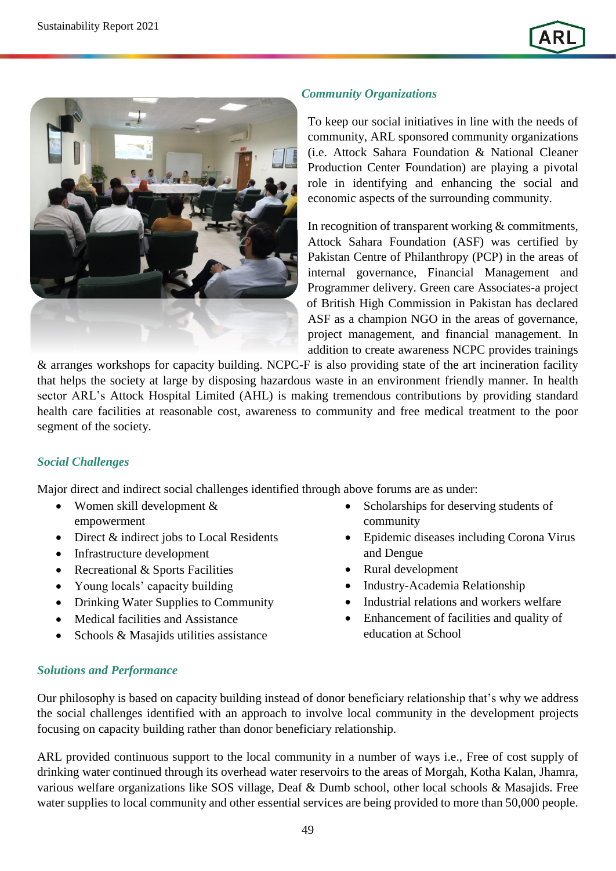

### *Community Organizations*

To keep our social initiatives in line with the needs of community, ARL sponsored community organizations (i.e. Attock Sahara Foundation & National Cleaner Production Center Foundation) are playing a pivotal role in identifying and enhancing the social and economic aspects of the surrounding community.

In recognition of transparent working & commitments, Attock Sahara Foundation (ASF) was certified by Pakistan Centre of Philanthropy (PCP) in the areas of internal governance, Financial Management and Programmer delivery. Green care Associates-a project of British High Commission in Pakistan has declared ASF as a champion NGO in the areas of governance, project management, and financial management. In addition to create awareness NCPC provides trainings

& arranges workshops for capacity building. NCPC-F is also providing state of the art incineration facility that helps the society at large by disposing hazardous waste in an environment friendly manner. In health sector ARL's Attock Hospital Limited (AHL) is making tremendous contributions by providing standard health care facilities at reasonable cost, awareness to community and free medical treatment to the poor segment of the society.

#### *Social Challenges*

Major direct and indirect social challenges identified through above forums are as under:

- Women skill development & empowerment
- Direct & indirect jobs to Local Residents
- Infrastructure development
- Recreational & Sports Facilities
- Young locals' capacity building
- Drinking Water Supplies to Community
- Medical facilities and Assistance
- Schools & Masajids utilities assistance
- Scholarships for deserving students of community
- Epidemic diseases including Corona Virus and Dengue
- Rural development
- Industry-Academia Relationship
- Industrial relations and workers welfare
- Enhancement of facilities and quality of education at School

#### *Solutions and Performance*

Our philosophy is based on capacity building instead of donor beneficiary relationship that's why we address the social challenges identified with an approach to involve local community in the development projects focusing on capacity building rather than donor beneficiary relationship.

ARL provided continuous support to the local community in a number of ways i.e., Free of cost supply of drinking water continued through its overhead water reservoirs to the areas of Morgah, Kotha Kalan, Jhamra, various welfare organizations like SOS village, Deaf & Dumb school, other local schools & Masajids. Free water supplies to local community and other essential services are being provided to more than 50,000 people.